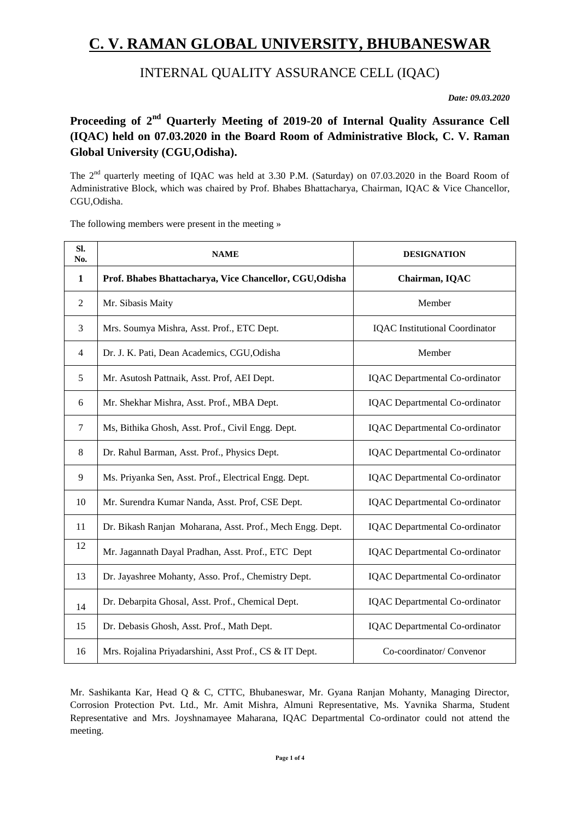# **C. V. RAMAN GLOBAL UNIVERSITY, BHUBANESWAR**

# INTERNAL QUALITY ASSURANCE CELL (IQAC)

*Date: 09.03.2020*

## **Proceeding of 2nd Quarterly Meeting of 2019-20 of Internal Quality Assurance Cell (IQAC) held on 07.03.2020 in the Board Room of Administrative Block, C. V. Raman Global University (CGU,Odisha).**

The  $2<sup>nd</sup>$  quarterly meeting of IQAC was held at 3.30 P.M. (Saturday) on 07.03.2020 in the Board Room of Administrative Block, which was chaired by Prof. Bhabes Bhattacharya, Chairman, IQAC & Vice Chancellor, CGU,Odisha.

The following members were present in the meeting »

| SI.<br>No.     | <b>NAME</b>                                               | <b>DESIGNATION</b>                    |  |  |
|----------------|-----------------------------------------------------------|---------------------------------------|--|--|
| 1              | Prof. Bhabes Bhattacharya, Vice Chancellor, CGU, Odisha   | Chairman, IQAC                        |  |  |
| $\overline{2}$ | Mr. Sibasis Maity                                         | Member                                |  |  |
| 3              | Mrs. Soumya Mishra, Asst. Prof., ETC Dept.                | <b>IQAC</b> Institutional Coordinator |  |  |
| 4              | Dr. J. K. Pati, Dean Academics, CGU, Odisha               | Member                                |  |  |
| 5              | Mr. Asutosh Pattnaik, Asst. Prof, AEI Dept.               | <b>IQAC</b> Departmental Co-ordinator |  |  |
| 6              | Mr. Shekhar Mishra, Asst. Prof., MBA Dept.                | <b>IQAC</b> Departmental Co-ordinator |  |  |
| 7              | Ms, Bithika Ghosh, Asst. Prof., Civil Engg. Dept.         | <b>IQAC</b> Departmental Co-ordinator |  |  |
| 8              | Dr. Rahul Barman, Asst. Prof., Physics Dept.              | <b>IQAC</b> Departmental Co-ordinator |  |  |
| 9              | Ms. Priyanka Sen, Asst. Prof., Electrical Engg. Dept.     | <b>IQAC</b> Departmental Co-ordinator |  |  |
| 10             | Mr. Surendra Kumar Nanda, Asst. Prof, CSE Dept.           | <b>IQAC</b> Departmental Co-ordinator |  |  |
| 11             | Dr. Bikash Ranjan Moharana, Asst. Prof., Mech Engg. Dept. | <b>IQAC</b> Departmental Co-ordinator |  |  |
| 12             | Mr. Jagannath Dayal Pradhan, Asst. Prof., ETC Dept        | <b>IQAC</b> Departmental Co-ordinator |  |  |
| 13             | Dr. Jayashree Mohanty, Asso. Prof., Chemistry Dept.       | <b>IQAC</b> Departmental Co-ordinator |  |  |
| 14             | Dr. Debarpita Ghosal, Asst. Prof., Chemical Dept.         | <b>IQAC</b> Departmental Co-ordinator |  |  |
| 15             | Dr. Debasis Ghosh, Asst. Prof., Math Dept.                | <b>IQAC</b> Departmental Co-ordinator |  |  |
| 16             | Mrs. Rojalina Priyadarshini, Asst Prof., CS & IT Dept.    | Co-coordinator/ Convenor              |  |  |

Mr. Sashikanta Kar, Head Q & C, CTTC, Bhubaneswar, Mr. Gyana Ranjan Mohanty, Managing Director, Corrosion Protection Pvt. Ltd., Mr. Amit Mishra, Almuni Representative, Ms. Yavnika Sharma, Student Representative and Mrs. Joyshnamayee Maharana, IQAC Departmental Co-ordinator could not attend the meeting.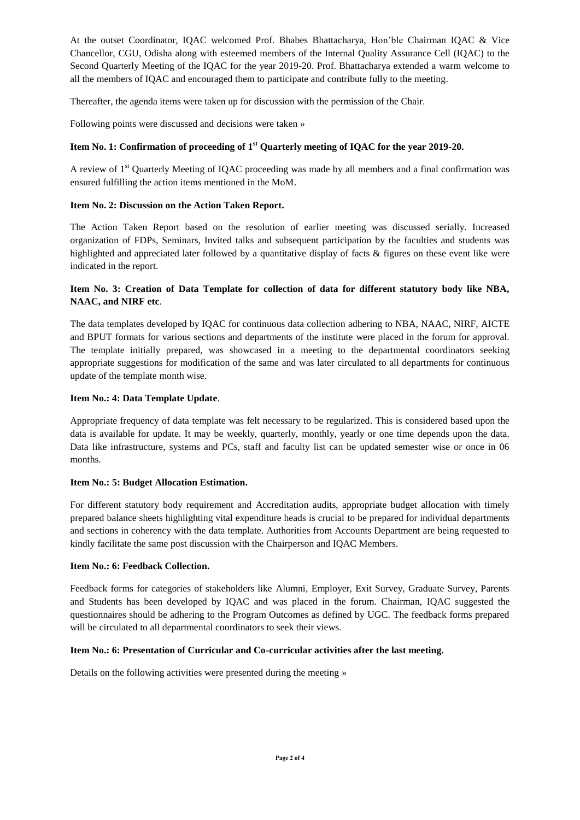At the outset Coordinator, IQAC welcomed Prof. Bhabes Bhattacharya, Hon'ble Chairman IQAC & Vice Chancellor, CGU, Odisha along with esteemed members of the Internal Quality Assurance Cell (IQAC) to the Second Quarterly Meeting of the IQAC for the year 2019-20. Prof. Bhattacharya extended a warm welcome to all the members of IQAC and encouraged them to participate and contribute fully to the meeting.

Thereafter, the agenda items were taken up for discussion with the permission of the Chair.

Following points were discussed and decisions were taken »

#### **Item No. 1: Confirmation of proceeding of 1st Quarterly meeting of IQAC for the year 2019-20.**

A review of  $1<sup>st</sup>$  Quarterly Meeting of IOAC proceeding was made by all members and a final confirmation was ensured fulfilling the action items mentioned in the MoM.

#### **Item No. 2: Discussion on the Action Taken Report.**

The Action Taken Report based on the resolution of earlier meeting was discussed serially. Increased organization of FDPs, Seminars, Invited talks and subsequent participation by the faculties and students was highlighted and appreciated later followed by a quantitative display of facts & figures on these event like were indicated in the report.

### **Item No. 3: Creation of Data Template for collection of data for different statutory body like NBA, NAAC, and NIRF etc**.

The data templates developed by IQAC for continuous data collection adhering to NBA, NAAC, NIRF, AICTE and BPUT formats for various sections and departments of the institute were placed in the forum for approval. The template initially prepared, was showcased in a meeting to the departmental coordinators seeking appropriate suggestions for modification of the same and was later circulated to all departments for continuous update of the template month wise.

#### **Item No.: 4: Data Template Update**.

Appropriate frequency of data template was felt necessary to be regularized. This is considered based upon the data is available for update. It may be weekly, quarterly, monthly, yearly or one time depends upon the data. Data like infrastructure, systems and PCs, staff and faculty list can be updated semester wise or once in 06 months.

#### **Item No.: 5: Budget Allocation Estimation.**

For different statutory body requirement and Accreditation audits, appropriate budget allocation with timely prepared balance sheets highlighting vital expenditure heads is crucial to be prepared for individual departments and sections in coherency with the data template. Authorities from Accounts Department are being requested to kindly facilitate the same post discussion with the Chairperson and IQAC Members.

#### **Item No.: 6: Feedback Collection.**

Feedback forms for categories of stakeholders like Alumni, Employer, Exit Survey, Graduate Survey, Parents and Students has been developed by IQAC and was placed in the forum. Chairman, IQAC suggested the questionnaires should be adhering to the Program Outcomes as defined by UGC. The feedback forms prepared will be circulated to all departmental coordinators to seek their views.

#### **Item No.: 6: Presentation of Curricular and Co-curricular activities after the last meeting.**

Details on the following activities were presented during the meeting »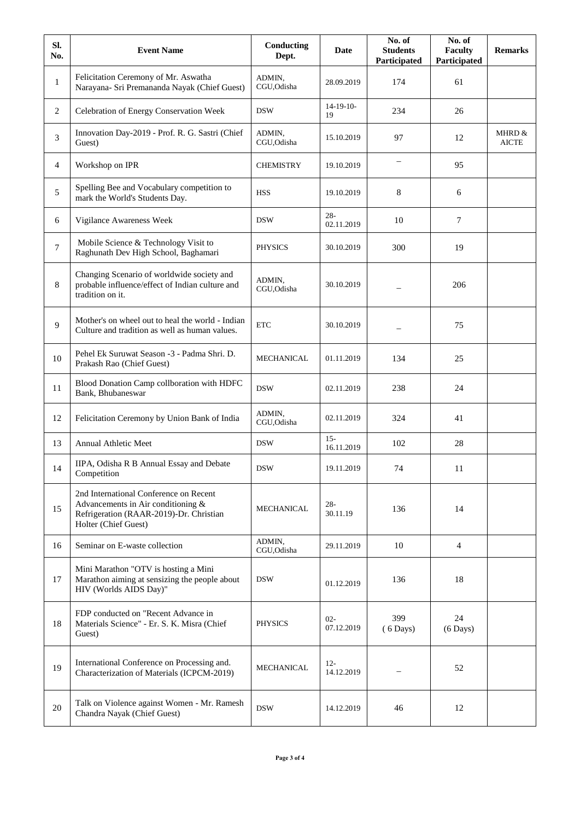| SI.<br>No.   | <b>Event Name</b>                                                                                                                               | Conducting<br>Dept.   | Date                 | No. of<br><b>Students</b><br>Participated | No. of<br><b>Faculty</b><br>Participated | <b>Remarks</b>         |
|--------------|-------------------------------------------------------------------------------------------------------------------------------------------------|-----------------------|----------------------|-------------------------------------------|------------------------------------------|------------------------|
| $\mathbf{1}$ | Felicitation Ceremony of Mr. Aswatha<br>Narayana- Sri Premananda Nayak (Chief Guest)                                                            | ADMIN,<br>CGU,Odisha  | 28.09.2019           | 174                                       | 61                                       |                        |
| 2            | Celebration of Energy Conservation Week                                                                                                         | <b>DSW</b>            | $14-19-10-$<br>19    | 234                                       | 26                                       |                        |
| 3            | Innovation Day-2019 - Prof. R. G. Sastri (Chief<br>Guest)                                                                                       | ADMIN,<br>CGU, Odisha | 15.10.2019           | 97                                        | 12                                       | MHRD &<br><b>AICTE</b> |
| 4            | Workshop on IPR                                                                                                                                 | <b>CHEMISTRY</b>      | 19.10.2019           |                                           | 95                                       |                        |
| 5            | Spelling Bee and Vocabulary competition to<br>mark the World's Students Day.                                                                    | <b>HSS</b>            | 19.10.2019           | 8                                         | 6                                        |                        |
| 6            | Vigilance Awareness Week                                                                                                                        | <b>DSW</b>            | $28 -$<br>02.11.2019 | 10                                        | 7                                        |                        |
| $\tau$       | Mobile Science & Technology Visit to<br>Raghunath Dev High School, Baghamari                                                                    | <b>PHYSICS</b>        | 30.10.2019           | 300                                       | 19                                       |                        |
| 8            | Changing Scenario of worldwide society and<br>probable influence/effect of Indian culture and<br>tradition on it.                               | ADMIN,<br>CGU, Odisha | 30.10.2019           |                                           | 206                                      |                        |
| 9            | Mother's on wheel out to heal the world - Indian<br>Culture and tradition as well as human values.                                              | <b>ETC</b>            | 30.10.2019           |                                           | 75                                       |                        |
| 10           | Pehel Ek Suruwat Season -3 - Padma Shri. D.<br>Prakash Rao (Chief Guest)                                                                        | MECHANICAL            | 01.11.2019           | 134                                       | 25                                       |                        |
| 11           | Blood Donation Camp collboration with HDFC<br>Bank, Bhubaneswar                                                                                 | <b>DSW</b>            | 02.11.2019           | 238                                       | 24                                       |                        |
| 12           | Felicitation Ceremony by Union Bank of India                                                                                                    | ADMIN,<br>CGU, Odisha | 02.11.2019           | 324                                       | 41                                       |                        |
| 13           | <b>Annual Athletic Meet</b>                                                                                                                     | <b>DSW</b>            | $15 -$<br>16.11.2019 | 102                                       | 28                                       |                        |
| 14           | IIPA, Odisha R B Annual Essay and Debate<br>Competition                                                                                         | <b>DSW</b>            | 19.11.2019           | 74                                        | 11                                       |                        |
| 15           | 2nd International Conference on Recent<br>Advancements in Air conditioning &<br>Refrigeration (RAAR-2019)-Dr. Christian<br>Holter (Chief Guest) | MECHANICAL            | $28 -$<br>30.11.19   | 136                                       | 14                                       |                        |
| 16           | Seminar on E-waste collection                                                                                                                   | ADMIN,<br>CGU, Odisha | 29.11.2019           | 10                                        | 4                                        |                        |
| 17           | Mini Marathon "OTV is hosting a Mini<br>Marathon aiming at sensizing the people about<br>HIV (Worlds AIDS Day)"                                 | <b>DSW</b>            | 01.12.2019           | 136                                       | 18                                       |                        |
| 18           | FDP conducted on "Recent Advance in<br>Materials Science" - Er. S. K. Misra (Chief<br>Guest)                                                    | <b>PHYSICS</b>        | $02 -$<br>07.12.2019 | 399<br>$(6$ Days)                         | 24<br>$(6 \text{ Days})$                 |                        |
| 19           | International Conference on Processing and.<br>Characterization of Materials (ICPCM-2019)                                                       | MECHANICAL            | $12 -$<br>14.12.2019 |                                           | 52                                       |                        |
| 20           | Talk on Violence against Women - Mr. Ramesh<br>Chandra Nayak (Chief Guest)                                                                      | <b>DSW</b>            | 14.12.2019           | 46                                        | 12                                       |                        |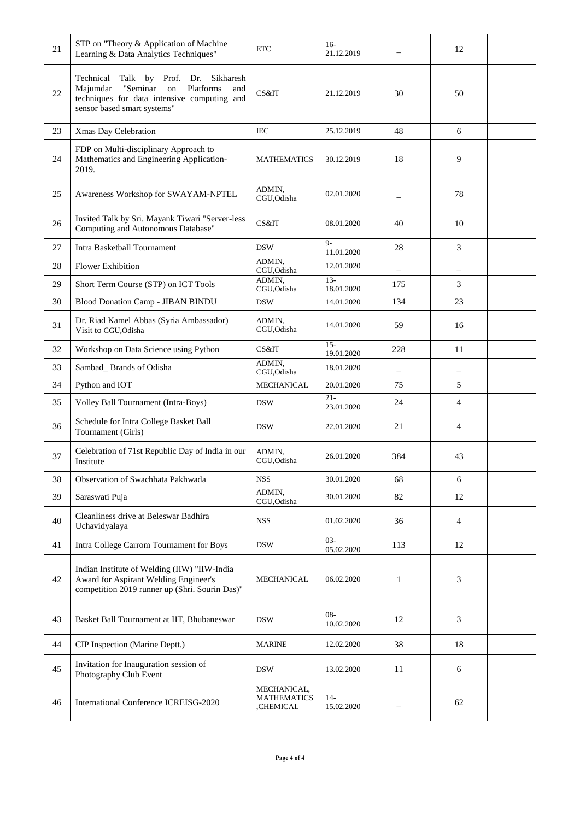| 21 | STP on "Theory & Application of Machine<br>Learning & Data Analytics Techniques"                                                                                                  | <b>ETC</b>            | $16-$<br>21.12.2019   |                          | 12                |  |
|----|-----------------------------------------------------------------------------------------------------------------------------------------------------------------------------------|-----------------------|-----------------------|--------------------------|-------------------|--|
| 22 | Technical<br>Talk by Prof. Dr. Sikharesh<br>Platforms<br>Majumdar<br>"Seminar<br>$^{\rm on}$<br>and<br>techniques for data intensive computing and<br>sensor based smart systems" | CS&IT                 | 21.12.2019            | 30                       | 50                |  |
| 23 | Xmas Day Celebration                                                                                                                                                              | <b>IEC</b>            | 25.12.2019            | 48                       | 6                 |  |
| 24 | FDP on Multi-disciplinary Approach to<br>Mathematics and Engineering Application-<br>2019.                                                                                        | <b>MATHEMATICS</b>    | 30.12.2019            | 18                       | 9                 |  |
| 25 | Awareness Workshop for SWAYAM-NPTEL                                                                                                                                               | ADMIN,<br>CGU, Odisha | 02.01.2020            |                          | 78                |  |
| 26 | Invited Talk by Sri. Mayank Tiwari "Server-less<br>Computing and Autonomous Database"                                                                                             | CS&IT                 | 08.01.2020            | 40                       | 10                |  |
| 27 | <b>Intra Basketball Tournament</b>                                                                                                                                                | <b>DSW</b>            | $Q_{-}$<br>11.01.2020 | 28                       | 3                 |  |
| 28 | <b>Flower Exhibition</b>                                                                                                                                                          | ADMIN,<br>CGU, Odisha | 12.01.2020            | $\overline{\phantom{0}}$ | $\qquad \qquad -$ |  |
| 29 | Short Term Course (STP) on ICT Tools                                                                                                                                              | ADMIN,<br>CGU, Odisha | $13 -$<br>18.01.2020  | 175                      | 3                 |  |
| 30 | Blood Donation Camp - JIBAN BINDU                                                                                                                                                 | <b>DSW</b>            | 14.01.2020            | 134                      | 23                |  |
| 31 | Dr. Riad Kamel Abbas (Syria Ambassador)<br>Visit to CGU, Odisha                                                                                                                   | ADMIN,<br>CGU, Odisha | 14.01.2020            | 59                       | 16                |  |
| 32 | Workshop on Data Science using Python                                                                                                                                             | CS&IT                 | $15 -$<br>19.01.2020  | 228                      | 11                |  |
| 33 | Sambad_Brands of Odisha                                                                                                                                                           | ADMIN,<br>CGU, Odisha | 18.01.2020            |                          |                   |  |
| 34 | Python and IOT                                                                                                                                                                    | <b>MECHANICAL</b>     | 20.01.2020            | 75                       | 5                 |  |
| 35 | Volley Ball Tournament (Intra-Boys)                                                                                                                                               | <b>DSW</b>            | $21 -$<br>23.01.2020  | 24                       | $\overline{4}$    |  |
| 36 | Schedule for Intra College Basket Ball<br>Tournament (Girls)                                                                                                                      | <b>DSW</b>            | 22.01.2020            | 21                       | 4                 |  |
| 37 | Celebration of 71st Republic Day of India in our<br>Institute                                                                                                                     | ADMIN,<br>CGU, Odisha | 26.01.2020            | 384                      | 43                |  |
| 38 | Observation of Swachhata Pakhwada                                                                                                                                                 | <b>NSS</b>            | 30.01.2020            | 68                       | 6                 |  |
| 39 | Saraswati Puja                                                                                                                                                                    | ADMIN,<br>CGU, Odisha | 30.01.2020            | 82                       | 12                |  |
| 40 | Cleanliness drive at Beleswar Badhira<br>Uchavidyalaya                                                                                                                            | <b>NSS</b>            | 01.02.2020            | 36                       | 4                 |  |
| 41 | Intra College Carrom Tournament for Boys                                                                                                                                          | <b>DSW</b>            | $03 -$<br>05.02.2020  | 113                      | 12                |  |
| 42 | Indian Institute of Welding (IIW) "IIW-India<br>Award for Aspirant Welding Engineer's<br>competition 2019 runner up (Shri. Sourin Das)"                                           | <b>MECHANICAL</b>     | 06.02.2020            | 1                        | 3                 |  |
| 43 | Basket Ball Tournament at IIT, Bhubaneswar                                                                                                                                        | <b>DSW</b>            | $08 -$<br>10.02.2020  | 12                       | 3                 |  |
| 44 | CIP Inspection (Marine Deptt.)                                                                                                                                                    | <b>MARINE</b>         | 12.02.2020            | 38                       | 18                |  |
| 45 | Invitation for Inauguration session of                                                                                                                                            | <b>DSW</b>            | 13.02.2020            | 11                       | 6                 |  |
|    | Photography Club Event                                                                                                                                                            |                       |                       |                          |                   |  |